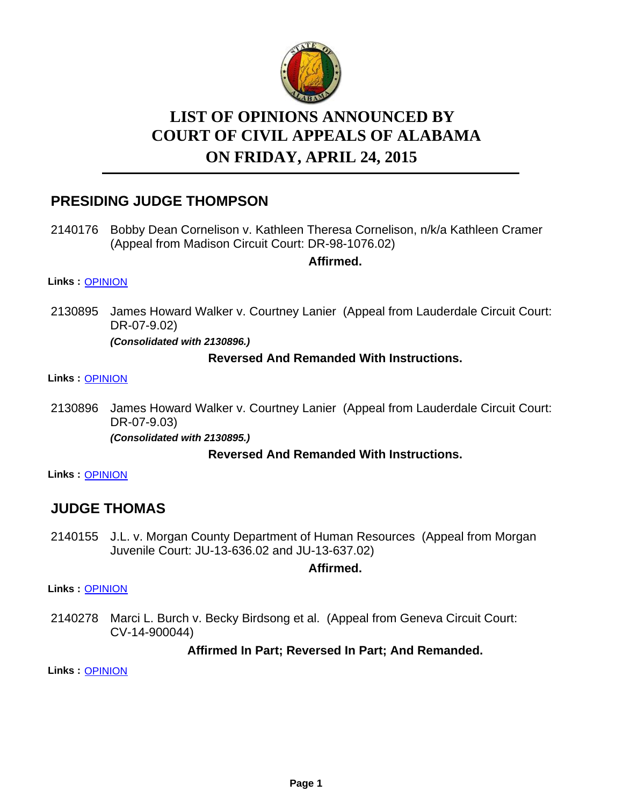

# **LIST OF OPINIONS ANNOUNCED BY ON FRIDAY, APRIL 24, 2015 COURT OF CIVIL APPEALS OF ALABAMA**

## **PRESIDING JUDGE THOMPSON**

2140176 Bobby Dean Cornelison v. Kathleen Theresa Cornelison, n/k/a Kathleen Cramer (Appeal from Madison Circuit Court: DR-98-1076.02)

**Affirmed.**

**Links :** [OPINION](https://acis.alabama.gov/displaydocs.cfm?no=653488&event=4C30L83G9)

2130895 James Howard Walker v. Courtney Lanier (Appeal from Lauderdale Circuit Court: DR-07-9.02)

*(Consolidated with 2130896.)*

### **Reversed And Remanded With Instructions.**

**Links :** [OPINION](https://acis.alabama.gov/displaydocs.cfm?no=653484&event=4C30L81TB)

2130896 James Howard Walker v. Courtney Lanier (Appeal from Lauderdale Circuit Court: DR-07-9.03)

*(Consolidated with 2130895.)*

### **Reversed And Remanded With Instructions.**

**Links :** [OPINION](https://acis.alabama.gov/displaydocs.cfm?no=653484&event=4C30L81TB)

# **JUDGE THOMAS**

2140155 J.L. v. Morgan County Department of Human Resources (Appeal from Morgan Juvenile Court: JU-13-636.02 and JU-13-637.02)

**Affirmed.**

**Links :** [OPINION](https://acis.alabama.gov/displaydocs.cfm?no=653487&event=4C30L83B3)

2140278 Marci L. Burch v. Becky Birdsong et al. (Appeal from Geneva Circuit Court: CV-14-900044)

### **Affirmed In Part; Reversed In Part; And Remanded.**

**Links :** [OPINION](https://acis.alabama.gov/displaydocs.cfm?no=653489&event=4C30L83LW)